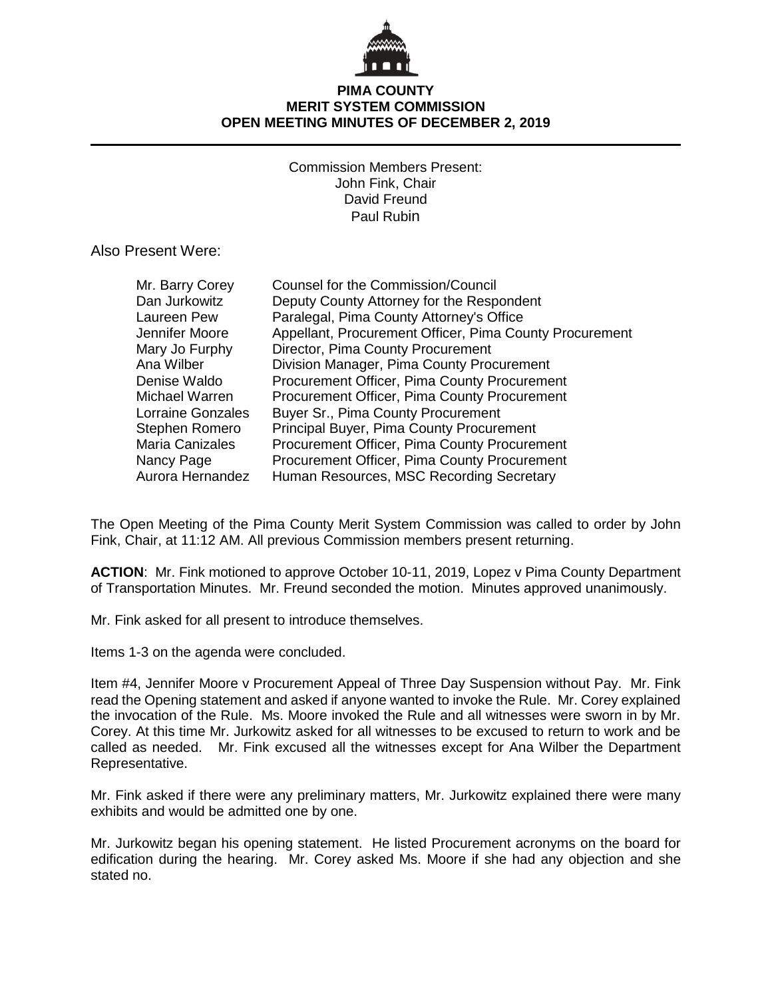

# **PIMA COUNTY MERIT SYSTEM COMMISSION OPEN MEETING MINUTES OF DECEMBER 2, 2019**

Commission Members Present: John Fink, Chair David Freund Paul Rubin

Also Present Were:

| Mr. Barry Corey   | Counsel for the Commission/Council                      |
|-------------------|---------------------------------------------------------|
| Dan Jurkowitz     | Deputy County Attorney for the Respondent               |
| Laureen Pew       | Paralegal, Pima County Attorney's Office                |
| Jennifer Moore    | Appellant, Procurement Officer, Pima County Procurement |
| Mary Jo Furphy    | Director, Pima County Procurement                       |
| Ana Wilber        | Division Manager, Pima County Procurement               |
| Denise Waldo      | Procurement Officer, Pima County Procurement            |
| Michael Warren    | Procurement Officer, Pima County Procurement            |
| Lorraine Gonzales | Buyer Sr., Pima County Procurement                      |
| Stephen Romero    | <b>Principal Buyer, Pima County Procurement</b>         |
| Maria Canizales   | <b>Procurement Officer, Pima County Procurement</b>     |
| Nancy Page        | Procurement Officer, Pima County Procurement            |
| Aurora Hernandez  | Human Resources, MSC Recording Secretary                |

The Open Meeting of the Pima County Merit System Commission was called to order by John Fink, Chair, at 11:12 AM. All previous Commission members present returning.

**ACTION**: Mr. Fink motioned to approve October 10-11, 2019, Lopez v Pima County Department of Transportation Minutes. Mr. Freund seconded the motion. Minutes approved unanimously.

Mr. Fink asked for all present to introduce themselves.

Items 1-3 on the agenda were concluded.

Item #4, Jennifer Moore v Procurement Appeal of Three Day Suspension without Pay. Mr. Fink read the Opening statement and asked if anyone wanted to invoke the Rule. Mr. Corey explained the invocation of the Rule. Ms. Moore invoked the Rule and all witnesses were sworn in by Mr. Corey. At this time Mr. Jurkowitz asked for all witnesses to be excused to return to work and be called as needed. Mr. Fink excused all the witnesses except for Ana Wilber the Department Representative.

Mr. Fink asked if there were any preliminary matters, Mr. Jurkowitz explained there were many exhibits and would be admitted one by one.

Mr. Jurkowitz began his opening statement. He listed Procurement acronyms on the board for edification during the hearing. Mr. Corey asked Ms. Moore if she had any objection and she stated no.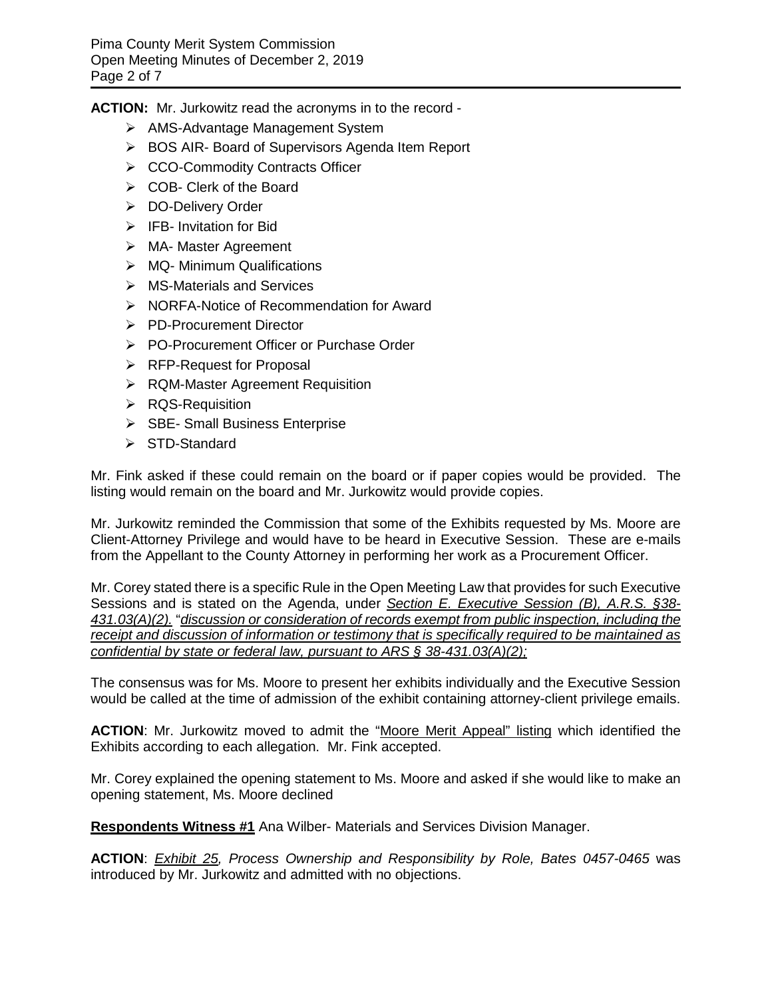**ACTION:** Mr. Jurkowitz read the acronyms in to the record -

- AMS-Advantage Management System
- ▶ BOS AIR- Board of Supervisors Agenda Item Report
- ▶ CCO-Commodity Contracts Officer
- COB- Clerk of the Board
- **▶ DO-Delivery Order**
- $\triangleright$  IFB- Invitation for Bid
- > MA- Master Agreement
- $\triangleright$  MQ- Minimum Qualifications
- MS-Materials and Services
- ▶ NORFA-Notice of Recommendation for Award
- **▶ PD-Procurement Director**
- ▶ PO-Procurement Officer or Purchase Order
- $\triangleright$  RFP-Request for Proposal
- **▶ RQM-Master Agreement Requisition**
- **▶ RQS-Requisition**
- SBE- Small Business Enterprise
- $\triangleright$  STD-Standard

Mr. Fink asked if these could remain on the board or if paper copies would be provided. The listing would remain on the board and Mr. Jurkowitz would provide copies.

Mr. Jurkowitz reminded the Commission that some of the Exhibits requested by Ms. Moore are Client-Attorney Privilege and would have to be heard in Executive Session. These are e-mails from the Appellant to the County Attorney in performing her work as a Procurement Officer.

Mr. Corey stated there is a specific Rule in the Open Meeting Law that provides for such Executive Sessions and is stated on the Agenda, under *Section E. Executive Session (B), A.R.S. §38- 431.03(A)(2).* "*discussion or consideration of records exempt from public inspection, including the receipt and discussion of information or testimony that is specifically required to be maintained as confidential by state or federal law, pursuant to ARS § 38-431.03(A)(2);*

The consensus was for Ms. Moore to present her exhibits individually and the Executive Session would be called at the time of admission of the exhibit containing attorney-client privilege emails.

**ACTION**: Mr. Jurkowitz moved to admit the "Moore Merit Appeal" listing which identified the Exhibits according to each allegation. Mr. Fink accepted.

Mr. Corey explained the opening statement to Ms. Moore and asked if she would like to make an opening statement, Ms. Moore declined

**Respondents Witness #1** Ana Wilber- Materials and Services Division Manager.

**ACTION**: *Exhibit 25, Process Ownership and Responsibility by Role, Bates 0457-0465* was introduced by Mr. Jurkowitz and admitted with no objections.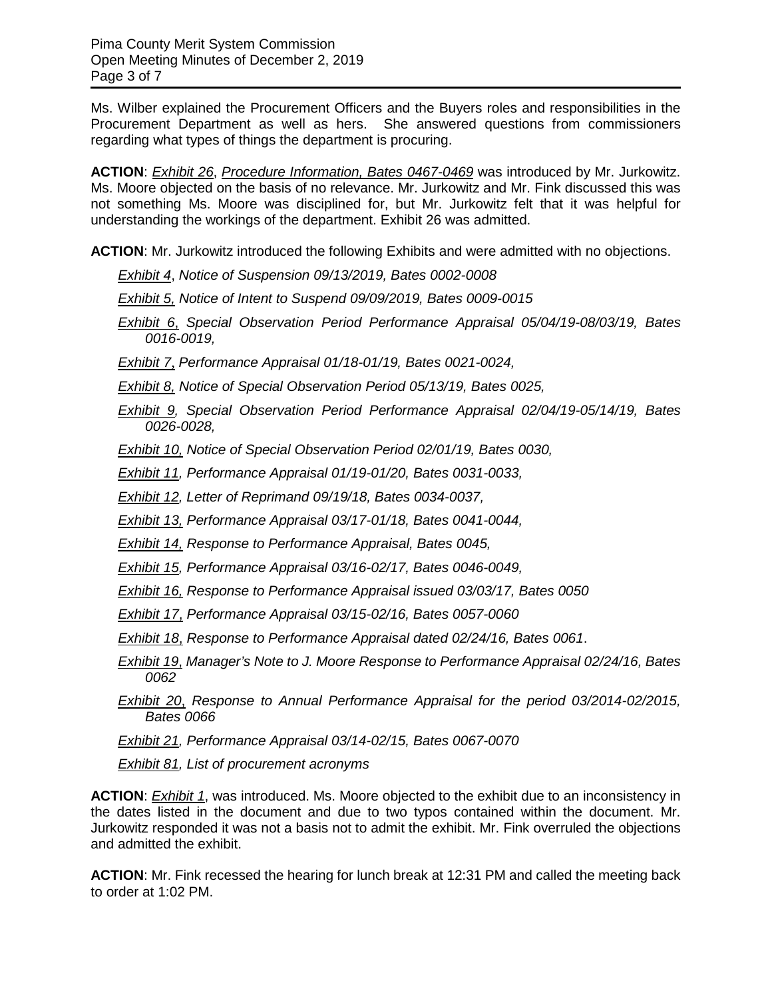Ms. Wilber explained the Procurement Officers and the Buyers roles and responsibilities in the Procurement Department as well as hers. She answered questions from commissioners regarding what types of things the department is procuring.

**ACTION**: *Exhibit 26*, *Procedure Information, Bates 0467-0469* was introduced by Mr. Jurkowitz. Ms. Moore objected on the basis of no relevance. Mr. Jurkowitz and Mr. Fink discussed this was not something Ms. Moore was disciplined for, but Mr. Jurkowitz felt that it was helpful for understanding the workings of the department. Exhibit 26 was admitted.

**ACTION**: Mr. Jurkowitz introduced the following Exhibits and were admitted with no objections.

*Exhibit 4*, *Notice of Suspension 09/13/2019, Bates 0002-0008*

*Exhibit 5, Notice of Intent to Suspend 09/09/2019, Bates 0009-0015*

*Exhibit 6*, *Special Observation Period Performance Appraisal 05/04/19-08/03/19, Bates 0016-0019,*

*Exhibit 7*, *Performance Appraisal 01/18-01/19, Bates 0021-0024,* 

*Exhibit 8, Notice of Special Observation Period 05/13/19, Bates 0025,* 

*Exhibit 9, Special Observation Period Performance Appraisal 02/04/19-05/14/19, Bates 0026-0028,* 

*Exhibit 10, Notice of Special Observation Period 02/01/19, Bates 0030,* 

*Exhibit 11, Performance Appraisal 01/19-01/20, Bates 0031-0033,* 

*Exhibit 12, Letter of Reprimand 09/19/18, Bates 0034-0037,* 

*Exhibit 13, Performance Appraisal 03/17-01/18, Bates 0041-0044,* 

*Exhibit 14, Response to Performance Appraisal, Bates 0045,*

*Exhibit 15, Performance Appraisal 03/16-02/17, Bates 0046-0049,* 

*Exhibit 16, Response to Performance Appraisal issued 03/03/17, Bates 0050*

*Exhibit 17*, *Performance Appraisal 03/15-02/16, Bates 0057-0060*

*Exhibit 18*, *Response to Performance Appraisal dated 02/24/16, Bates 0061*.

*Exhibit 19*, *Manager's Note to J. Moore Response to Performance Appraisal 02/24/16, Bates 0062*

*Exhibit 20*, *Response to Annual Performance Appraisal for the period 03/2014-02/2015, Bates 0066*

*Exhibit 21, Performance Appraisal 03/14-02/15, Bates 0067-0070*

*Exhibit 81, List of procurement acronyms*

**ACTION**: *Exhibit 1*, was introduced. Ms. Moore objected to the exhibit due to an inconsistency in the dates listed in the document and due to two typos contained within the document. Mr. Jurkowitz responded it was not a basis not to admit the exhibit. Mr. Fink overruled the objections and admitted the exhibit.

**ACTION**: Mr. Fink recessed the hearing for lunch break at 12:31 PM and called the meeting back to order at 1:02 PM.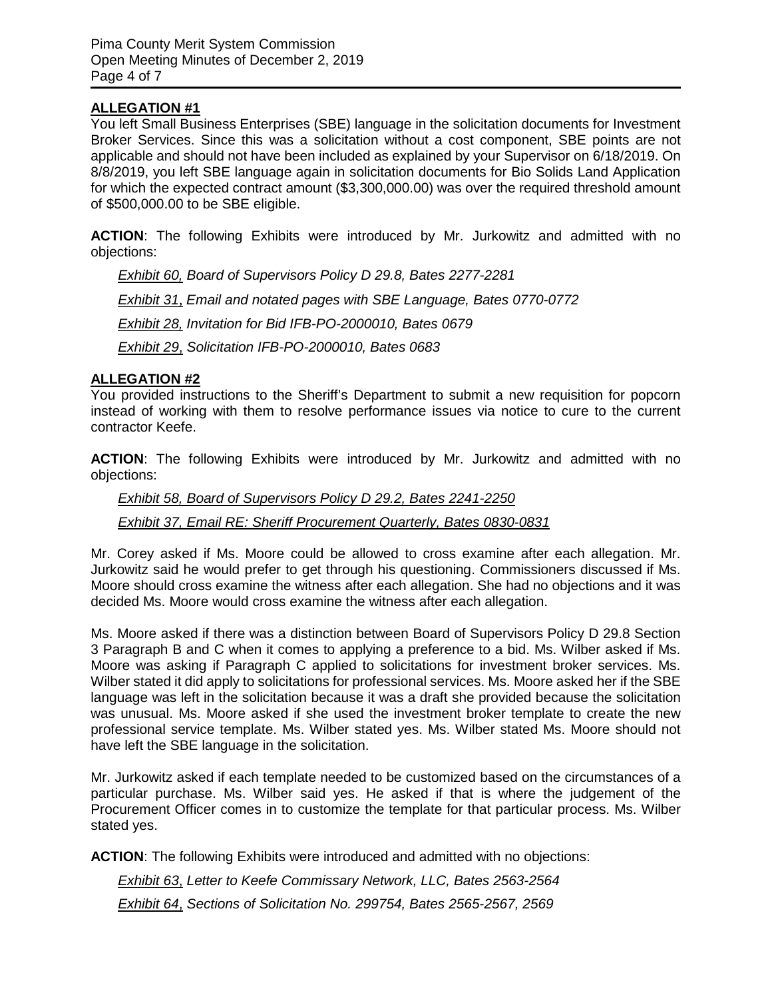# **ALLEGATION #1**

You left Small Business Enterprises (SBE) language in the solicitation documents for Investment Broker Services. Since this was a solicitation without a cost component, SBE points are not applicable and should not have been included as explained by your Supervisor on 6/18/2019. On 8/8/2019, you left SBE language again in solicitation documents for Bio Solids Land Application for which the expected contract amount (\$3,300,000.00) was over the required threshold amount of \$500,000.00 to be SBE eligible.

**ACTION**: The following Exhibits were introduced by Mr. Jurkowitz and admitted with no objections:

*Exhibit 60, Board of Supervisors Policy D 29.8, Bates 2277-2281 Exhibit 31, Email and notated pages with SBE Language, Bates 0770-0772 Exhibit 28, Invitation for Bid IFB-PO-2000010, Bates 0679 Exhibit 29*, *Solicitation IFB-PO-2000010, Bates 0683*

### **ALLEGATION #2**

You provided instructions to the Sheriff's Department to submit a new requisition for popcorn instead of working with them to resolve performance issues via notice to cure to the current contractor Keefe.

**ACTION**: The following Exhibits were introduced by Mr. Jurkowitz and admitted with no objections:

*Exhibit 58, Board of Supervisors Policy D 29.2, Bates 2241-2250 Exhibit 37, Email RE: Sheriff Procurement Quarterly, Bates 0830-0831*

Mr. Corey asked if Ms. Moore could be allowed to cross examine after each allegation. Mr. Jurkowitz said he would prefer to get through his questioning. Commissioners discussed if Ms. Moore should cross examine the witness after each allegation. She had no objections and it was decided Ms. Moore would cross examine the witness after each allegation.

Ms. Moore asked if there was a distinction between Board of Supervisors Policy D 29.8 Section 3 Paragraph B and C when it comes to applying a preference to a bid. Ms. Wilber asked if Ms. Moore was asking if Paragraph C applied to solicitations for investment broker services. Ms. Wilber stated it did apply to solicitations for professional services. Ms. Moore asked her if the SBE language was left in the solicitation because it was a draft she provided because the solicitation was unusual. Ms. Moore asked if she used the investment broker template to create the new professional service template. Ms. Wilber stated yes. Ms. Wilber stated Ms. Moore should not have left the SBE language in the solicitation.

Mr. Jurkowitz asked if each template needed to be customized based on the circumstances of a particular purchase. Ms. Wilber said yes. He asked if that is where the judgement of the Procurement Officer comes in to customize the template for that particular process. Ms. Wilber stated yes.

**ACTION**: The following Exhibits were introduced and admitted with no objections:

*Exhibit 63*, *Letter to Keefe Commissary Network, LLC, Bates 2563-2564 Exhibit 64*, *Sections of Solicitation No. 299754, Bates 2565-2567, 2569*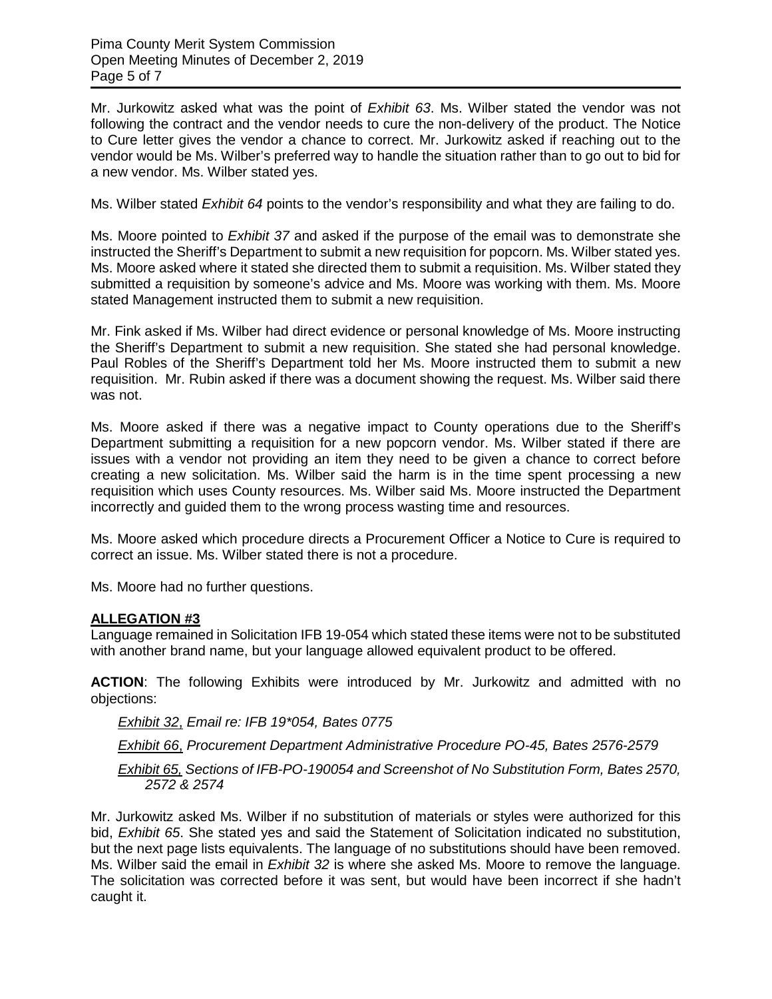Mr. Jurkowitz asked what was the point of *Exhibit 63*. Ms. Wilber stated the vendor was not following the contract and the vendor needs to cure the non-delivery of the product. The Notice to Cure letter gives the vendor a chance to correct. Mr. Jurkowitz asked if reaching out to the vendor would be Ms. Wilber's preferred way to handle the situation rather than to go out to bid for a new vendor. Ms. Wilber stated yes.

Ms. Wilber stated *Exhibit 64* points to the vendor's responsibility and what they are failing to do.

Ms. Moore pointed to *Exhibit 37* and asked if the purpose of the email was to demonstrate she instructed the Sheriff's Department to submit a new requisition for popcorn. Ms. Wilber stated yes. Ms. Moore asked where it stated she directed them to submit a requisition. Ms. Wilber stated they submitted a requisition by someone's advice and Ms. Moore was working with them. Ms. Moore stated Management instructed them to submit a new requisition.

Mr. Fink asked if Ms. Wilber had direct evidence or personal knowledge of Ms. Moore instructing the Sheriff's Department to submit a new requisition. She stated she had personal knowledge. Paul Robles of the Sheriff's Department told her Ms. Moore instructed them to submit a new requisition. Mr. Rubin asked if there was a document showing the request. Ms. Wilber said there was not.

Ms. Moore asked if there was a negative impact to County operations due to the Sheriff's Department submitting a requisition for a new popcorn vendor. Ms. Wilber stated if there are issues with a vendor not providing an item they need to be given a chance to correct before creating a new solicitation. Ms. Wilber said the harm is in the time spent processing a new requisition which uses County resources. Ms. Wilber said Ms. Moore instructed the Department incorrectly and guided them to the wrong process wasting time and resources.

Ms. Moore asked which procedure directs a Procurement Officer a Notice to Cure is required to correct an issue. Ms. Wilber stated there is not a procedure.

Ms. Moore had no further questions.

#### **ALLEGATION #3**

Language remained in Solicitation IFB 19-054 which stated these items were not to be substituted with another brand name, but your language allowed equivalent product to be offered.

**ACTION**: The following Exhibits were introduced by Mr. Jurkowitz and admitted with no objections:

*Exhibit 32*, *Email re: IFB 19\*054, Bates 0775* 

*Exhibit 66*, *Procurement Department Administrative Procedure PO-45, Bates 2576-2579*

*Exhibit 65, Sections of IFB-PO-190054 and Screenshot of No Substitution Form, Bates 2570, 2572 & 2574*

Mr. Jurkowitz asked Ms. Wilber if no substitution of materials or styles were authorized for this bid, *Exhibit 65*. She stated yes and said the Statement of Solicitation indicated no substitution, but the next page lists equivalents. The language of no substitutions should have been removed. Ms. Wilber said the email in *Exhibit 32* is where she asked Ms. Moore to remove the language. The solicitation was corrected before it was sent, but would have been incorrect if she hadn't caught it.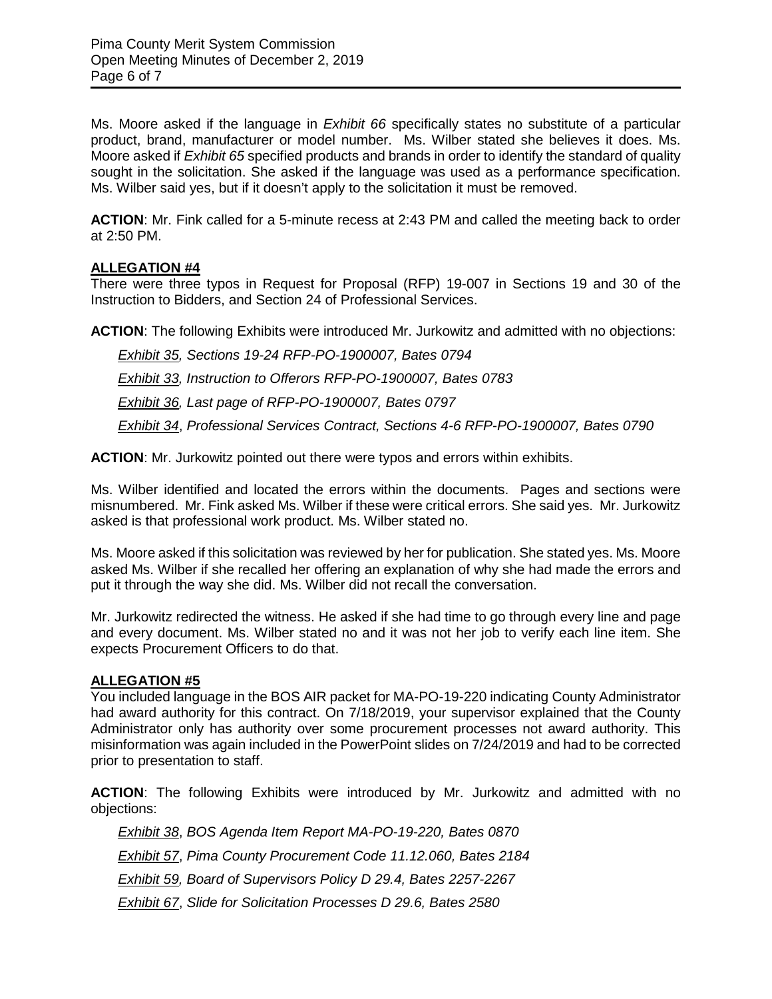Ms. Moore asked if the language in *Exhibit 66* specifically states no substitute of a particular product, brand, manufacturer or model number. Ms. Wilber stated she believes it does. Ms. Moore asked if *Exhibit 65* specified products and brands in order to identify the standard of quality sought in the solicitation. She asked if the language was used as a performance specification. Ms. Wilber said yes, but if it doesn't apply to the solicitation it must be removed.

**ACTION**: Mr. Fink called for a 5-minute recess at 2:43 PM and called the meeting back to order at 2:50 PM.

### **ALLEGATION #4**

There were three typos in Request for Proposal (RFP) 19-007 in Sections 19 and 30 of the Instruction to Bidders, and Section 24 of Professional Services.

**ACTION**: The following Exhibits were introduced Mr. Jurkowitz and admitted with no objections:

*Exhibit 35, Sections 19-24 RFP-PO-1900007, Bates 0794 Exhibit 33, Instruction to Offerors RFP-PO-1900007, Bates 0783 Exhibit 36, Last page of RFP-PO-1900007, Bates 0797 Exhibit 34*, *Professional Services Contract, Sections 4-6 RFP-PO-1900007, Bates 0790*

**ACTION**: Mr. Jurkowitz pointed out there were typos and errors within exhibits.

Ms. Wilber identified and located the errors within the documents. Pages and sections were misnumbered. Mr. Fink asked Ms. Wilber if these were critical errors. She said yes. Mr. Jurkowitz asked is that professional work product. Ms. Wilber stated no.

Ms. Moore asked if this solicitation was reviewed by her for publication. She stated yes. Ms. Moore asked Ms. Wilber if she recalled her offering an explanation of why she had made the errors and put it through the way she did. Ms. Wilber did not recall the conversation.

Mr. Jurkowitz redirected the witness. He asked if she had time to go through every line and page and every document. Ms. Wilber stated no and it was not her job to verify each line item. She expects Procurement Officers to do that.

#### **ALLEGATION #5**

You included language in the BOS AIR packet for MA-PO-19-220 indicating County Administrator had award authority for this contract. On 7/18/2019, your supervisor explained that the County Administrator only has authority over some procurement processes not award authority. This misinformation was again included in the PowerPoint slides on 7/24/2019 and had to be corrected prior to presentation to staff.

**ACTION**: The following Exhibits were introduced by Mr. Jurkowitz and admitted with no objections:

*Exhibit 38*, *BOS Agenda Item Report MA-PO-19-220, Bates 0870 Exhibit 57*, *Pima County Procurement Code 11.12.060, Bates 2184 Exhibit 59, Board of Supervisors Policy D 29.4, Bates 2257-2267 Exhibit 67*, *Slide for Solicitation Processes D 29.6, Bates 2580*